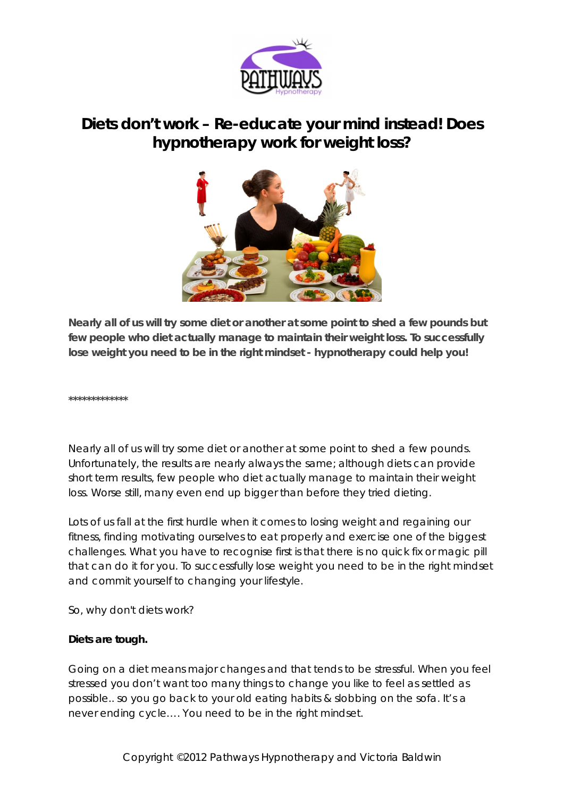

# **Diets don't work – Re-educate your mind instead! Does hypnotherapy work for weight loss?**



**Nearly all of us will try some diet or another at some point to shed a few pounds but few people who diet actually manage to maintain their weight loss. To successfully lose weight you need to be in the right mindset - hypnotherapy could help you!**

**\*\*\*\*\*\*\*\*\*\*\*\*\***

Nearly all of us will try some diet or another at some point to shed a few pounds. Unfortunately, the results are nearly always the same; although diets can provide short term results, few people who diet actually manage to maintain their weight loss. Worse still, many even end up bigger than before they tried dieting.

Lots of us fall at the first hurdle when it comes to losing weight and regaining our fitness, finding motivating ourselves to eat properly and exercise one of the biggest challenges. What you have to recognise first is that there is no quick fix or magic pill that can do it for you. To successfully lose weight you need to be in the right mindset and commit yourself to changing your lifestyle.

So, why don't diets work?

# *Diets are tough.*

Going on a diet means major changes and that tends to be stressful. When you feel stressed you don't want too many things to change you like to feel as settled as possible.. so you go back to your old eating habits & slobbing on the sofa. It's a never ending cycle…. You need to be in the right mindset.